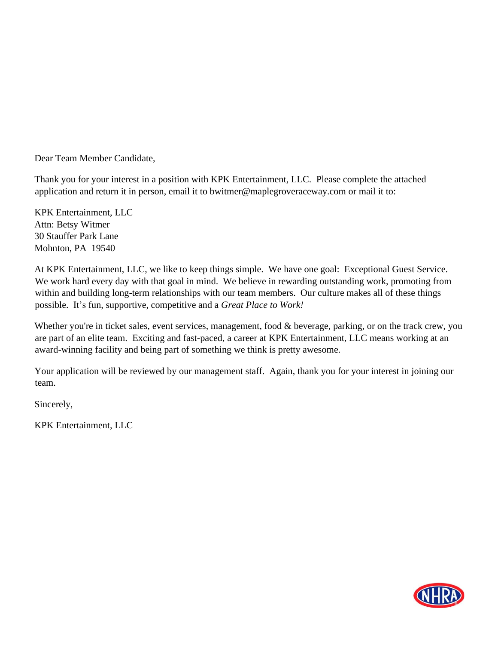Dear Team Member Candidate,

Thank you for your interest in a position with KPK Entertainment, LLC. Please complete the attached application and return it in person, email it to bwitmer@maplegroveraceway.com or mail it to:

KPK Entertainment, LLC Attn: Betsy Witmer 30 Stauffer Park Lane Mohnton, PA 19540

At KPK Entertainment, LLC, we like to keep things simple. We have one goal: Exceptional Guest Service. We work hard every day with that goal in mind. We believe in rewarding outstanding work, promoting from within and building long-term relationships with our team members. Our culture makes all of these things possible. It's fun, supportive, competitive and a *Great Place to Work!*

Whether you're in ticket sales, event services, management, food & beverage, parking, or on the track crew, you are part of an elite team. Exciting and fast-paced, a career at KPK Entertainment, LLC means working at an award-winning facility and being part of something we think is pretty awesome.

Your application will be reviewed by our management staff. Again, thank you for your interest in joining our team.

Sincerely,

KPK Entertainment, LLC

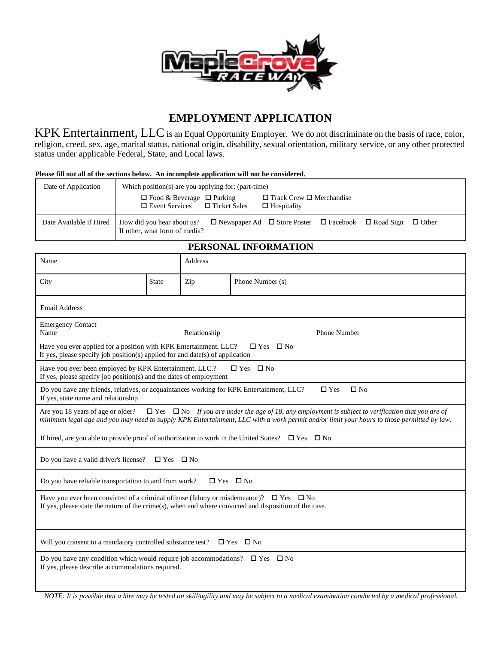

# **EMPLOYMENT APPLICATION**

KPK Entertainment, LLC is an Equal Opportunity Employer. We do not discriminate on the basis of race, color, religion, creed, sex, age, marital status, national origin, disability, sexual orientation, military service, or any other protected status under applicable Federal, State, and Local laws.

#### **Please fill out all of the sections below. An incomplete application will not be considered.**

| Date of Application     | Which position(s) are you applying for: (part-time)                                                                                                     |  |  |  |
|-------------------------|---------------------------------------------------------------------------------------------------------------------------------------------------------|--|--|--|
|                         | $\Box$ Food & Beverage $\Box$ Parking<br>$\Box$ Track Crew $\Box$ Merchandise<br>$\Box$ Event Services $\Box$ Ticket Sales<br>$\Box$ Hospitality        |  |  |  |
| Date Available if Hired | $\Box$ Newspaper Ad $\Box$ Store Poster $\Box$ Facebook $\Box$ Road Sign<br>How did you hear about us?<br>$\Box$ Other<br>If other, what form of media? |  |  |  |

### **PERSONAL INFORMATION**

| Name                                                                                                                                                                                                                                                                                             |              | Address      |                               |  |  |  |  |
|--------------------------------------------------------------------------------------------------------------------------------------------------------------------------------------------------------------------------------------------------------------------------------------------------|--------------|--------------|-------------------------------|--|--|--|--|
| City                                                                                                                                                                                                                                                                                             | <b>State</b> | Zip          | Phone Number (s)              |  |  |  |  |
| <b>Email Address</b>                                                                                                                                                                                                                                                                             |              |              |                               |  |  |  |  |
| <b>Emergency Contact</b><br>Name                                                                                                                                                                                                                                                                 |              | Relationship | <b>Phone Number</b>           |  |  |  |  |
| Have you ever applied for a position with KPK Entertainment, LLC?<br>$\Box$ Yes $\Box$ No<br>If yes, please specify job position(s) applied for and date(s) of application                                                                                                                       |              |              |                               |  |  |  |  |
| $\square$ No<br>Have you ever been employed by KPK Entertainment, LLC.?<br>$\square$ Yes<br>If yes, please specify job position( $s$ ) and the dates of employment                                                                                                                               |              |              |                               |  |  |  |  |
| Do you have any friends, relatives, or acquaintances working for KPK Entertainment, LLC?<br>If yes, state name and relationship                                                                                                                                                                  |              |              | $\square$ No<br>$\square$ Yes |  |  |  |  |
| $\Box$ Yes $\Box$ No If you are under the age of 18, any employment is subject to verification that you are of<br>Are you 18 years of age or older?<br>minimum legal age and you may need to supply KPK Entertainment, LLC with a work permit and/or limit your hours to those permitted by law. |              |              |                               |  |  |  |  |
| If hired, are you able to provide proof of authorization to work in the United States? $\square$ Yes $\square$ No                                                                                                                                                                                |              |              |                               |  |  |  |  |
| Do you have a valid driver's license?<br>$\Box$ Yes $\Box$ No                                                                                                                                                                                                                                    |              |              |                               |  |  |  |  |
| Do you have reliable transportation to and from work?<br>$\square$ Yes<br>$\square$ No                                                                                                                                                                                                           |              |              |                               |  |  |  |  |
| Have you ever been convicted of a criminal offense (felony or misdemeanor)? $\square$ Yes $\square$ No<br>If yes, please state the nature of the crime(s), when and where convicted and disposition of the case.                                                                                 |              |              |                               |  |  |  |  |
| Will you consent to a mandatory controlled substance test?<br>$\Box$ Yes $\Box$ No                                                                                                                                                                                                               |              |              |                               |  |  |  |  |
| Do you have any condition which would require job accommodations? $\square$ Yes<br>$\square$ No<br>If yes, please describe accommodations required.                                                                                                                                              |              |              |                               |  |  |  |  |
| $\cdot$ $\cdot$ $\cdot$<br>$\mathbf{17} \cap \mathbf{B} \mathbf{D}$                                                                                                                                                                                                                              |              | 1.111        |                               |  |  |  |  |

*NOTE: It is possible that a hire may be tested on skill/agility and may be subject to a medical examination conducted by a medical professional.*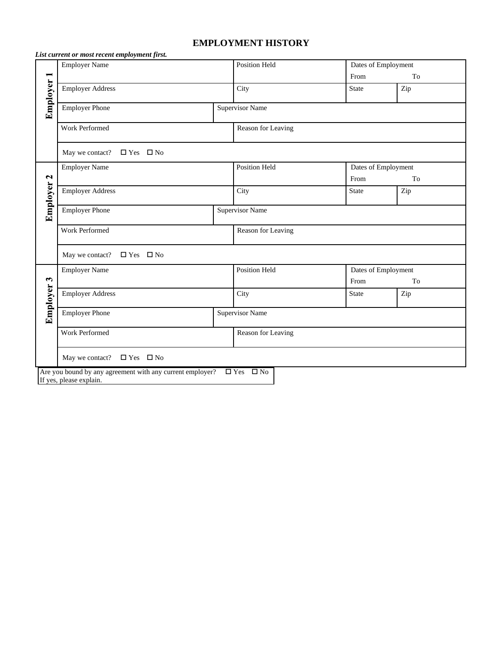## **EMPLOYMENT HISTORY**

|                      | List current or most recent employment first.                                     |                        |                     |                     |  |  |
|----------------------|-----------------------------------------------------------------------------------|------------------------|---------------------|---------------------|--|--|
| <b>Employer 1</b>    | <b>Employer Name</b>                                                              | Position Held          | Dates of Employment |                     |  |  |
|                      |                                                                                   |                        | From                | To                  |  |  |
|                      | <b>Employer Address</b>                                                           | City                   | <b>State</b>        | Zip                 |  |  |
|                      | <b>Employer Phone</b>                                                             | <b>Supervisor Name</b> |                     |                     |  |  |
|                      | Work Performed                                                                    | Reason for Leaving     |                     |                     |  |  |
|                      | May we contact? $\Box$ Yes $\Box$ No                                              |                        |                     |                     |  |  |
|                      | <b>Employer Name</b>                                                              | Position Held          | Dates of Employment |                     |  |  |
| $\mathbf{\Omega}$    |                                                                                   |                        | From                | To                  |  |  |
| Employer             | <b>Employer Address</b>                                                           | City                   | <b>State</b>        | Zip                 |  |  |
|                      | <b>Employer Phone</b>                                                             | <b>Supervisor Name</b> |                     |                     |  |  |
|                      | Work Performed                                                                    | Reason for Leaving     |                     |                     |  |  |
|                      | May we contact? $\square$ Yes $\square$ No                                        |                        |                     |                     |  |  |
|                      | <b>Employer Name</b>                                                              | Position Held          |                     | Dates of Employment |  |  |
| $\mathbf{\tilde{5}}$ |                                                                                   |                        | From                | To                  |  |  |
| Employer             | <b>Employer Address</b>                                                           | City                   | <b>State</b>        | Zip                 |  |  |
|                      | <b>Employer Phone</b>                                                             | <b>Supervisor Name</b> |                     |                     |  |  |
|                      | Work Performed                                                                    | Reason for Leaving     |                     |                     |  |  |
|                      | May we contact?<br>$\Box$ Yes $\Box$ No                                           |                        |                     |                     |  |  |
|                      | Are you bound by any agreement with any current employer?<br>$\Box$ Yes $\Box$ No |                        |                     |                     |  |  |
|                      | If yes, please explain.                                                           |                        |                     |                     |  |  |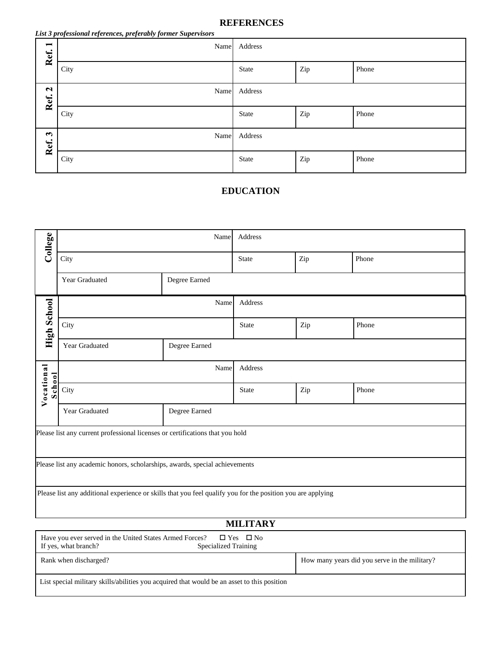### **REFERENCES**

| List 3 professional references, preferably former Supervisors |  |  |
|---------------------------------------------------------------|--|--|
|---------------------------------------------------------------|--|--|

| $\blacksquare$<br>Ref.       | Name | Address      |     |       |
|------------------------------|------|--------------|-----|-------|
|                              | City | <b>State</b> | Zip | Phone |
| $\mathbf{\Omega}$<br>Ref.    | Name | Address      |     |       |
|                              | City | <b>State</b> | Zip | Phone |
| $\mathbf{\tilde{5}}$<br>Ref. | Name | Address      |     |       |
|                              | City | <b>State</b> | Zip | Phone |

## **EDUCATION**

| College                                                                                                     | Name           |               | Address      |       |       |  |
|-------------------------------------------------------------------------------------------------------------|----------------|---------------|--------------|-------|-------|--|
|                                                                                                             | City           |               | <b>State</b> | Zip   | Phone |  |
|                                                                                                             | Year Graduated | Degree Earned |              |       |       |  |
|                                                                                                             | Name           |               | Address      |       |       |  |
| <b>High School</b>                                                                                          | City           | State         | Zip          | Phone |       |  |
|                                                                                                             | Year Graduated | Degree Earned |              |       |       |  |
|                                                                                                             |                | Name          | Address      |       |       |  |
| Vocational<br>School                                                                                        | City           | <b>State</b>  | Zip          | Phone |       |  |
|                                                                                                             | Year Graduated | Degree Earned |              |       |       |  |
| Please list any current professional licenses or certifications that you hold                               |                |               |              |       |       |  |
| Please list any academic honors, scholarships, awards, special achievements                                 |                |               |              |       |       |  |
| Please list any additional experience or skills that you feel qualify you for the position you are applying |                |               |              |       |       |  |

# **MILITARY**

| Have you ever served in the United States Armed Forces? $\square$ Yes $\square$ No<br>If yes, what branch?<br><b>Specialized Training</b> |                                               |  |  |  |
|-------------------------------------------------------------------------------------------------------------------------------------------|-----------------------------------------------|--|--|--|
| Rank when discharged?                                                                                                                     | How many years did you serve in the military? |  |  |  |
| List special military skills/abilities you acquired that would be an asset to this position                                               |                                               |  |  |  |